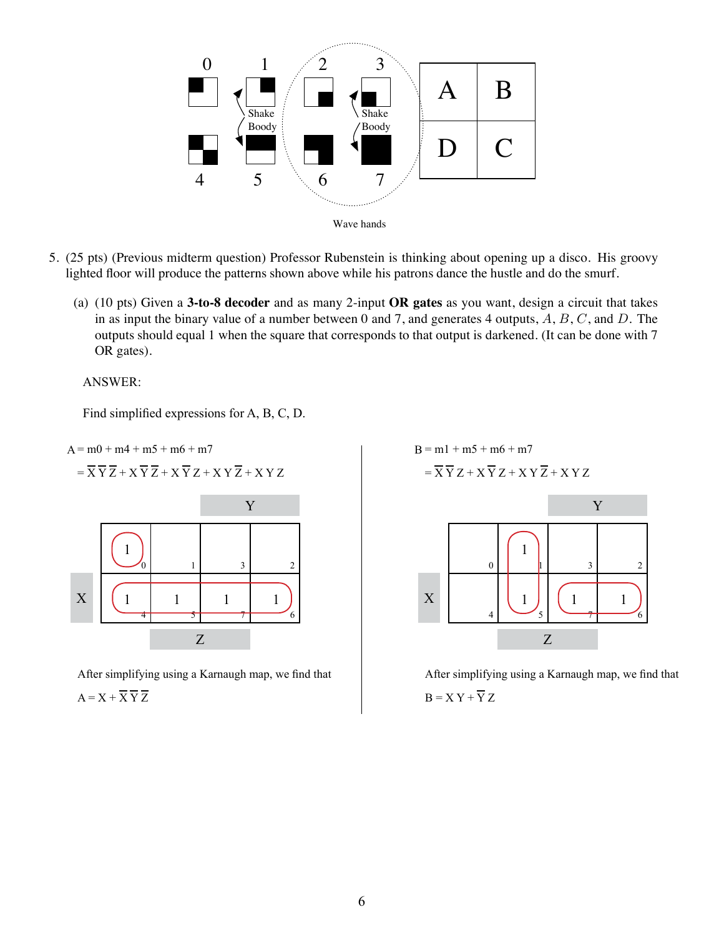

- 5. (25 pts) (Previous midterm question) Professor Rubenstein is thinking about opening up a disco. His groovy lighted floor will produce the patterns shown above while his patrons dance the hustle and do the smurf.
	- (a) (10 pts) Given a **3-to-8 decoder** and as many 2-input **OR gates** as you want, design a circuit that takes in as input the binary value of a number between 0 and 7, and generates 4 outputs,  $A, B, C$ , and  $D$ . The outputs should equal 1 when the square that corresponds to that output is darkened. (It can be done with 7 OR gates).

 $\Delta$  bouts his discontracted also wants his discontracted engineering-saviva individuals whose engineering-saviva individuals whose engineering-savve individuals whose engineering-savve individuals whose engineering-savve  $\overline{N}$ ANSWER:

(whose value is 2) is set (i.e., squares 2,3,6,7), people on the dance floor should wave the dance floor should wave the dance floor should wave the dance on the dance on the dance on the dance of the dance of the dance o Find simplified expressions for A, B, C, D.



After simplifying using a Karnaugh map, we find that  $A = X + \overline{X} \overline{Y} \overline{Z}$ 



After simplifying using a Karnaugh map, we find that  $B = X Y + \overline{Y} Z$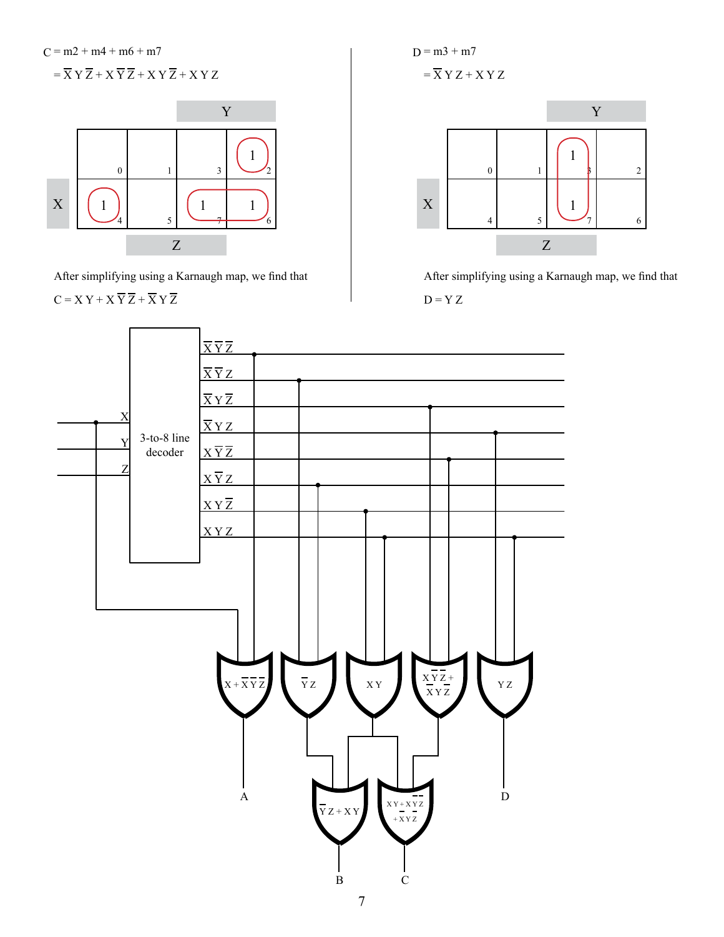$C = m2 + m4 + m6 + m7$  $= \overline{X} Y \overline{Z} + X \overline{Y} \overline{Z} + X Y \overline{Z} + XY Z$ 



After simplifying using a Karnaugh map, we find that

$$
C = X Y + X \overline{Y} \overline{Z} + \overline{X} Y \overline{Z}
$$

 $D = m3 + m7$  $=\overline{X} Y Z + XY Z$ 



After simplifying using a Karnaugh map, we find that  $D = Y Z$